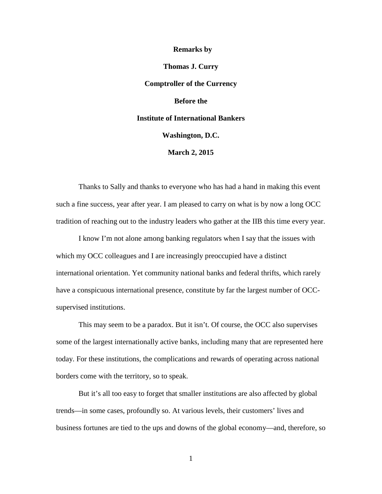## **Remarks by**

**Thomas J. Curry Comptroller of the Currency Before the Institute of International Bankers Washington, D.C. March 2, 2015**

Thanks to Sally and thanks to everyone who has had a hand in making this event such a fine success, year after year. I am pleased to carry on what is by now a long OCC tradition of reaching out to the industry leaders who gather at the IIB this time every year.

I know I'm not alone among banking regulators when I say that the issues with which my OCC colleagues and I are increasingly preoccupied have a distinct international orientation. Yet community national banks and federal thrifts, which rarely have a conspicuous international presence, constitute by far the largest number of OCCsupervised institutions.

This may seem to be a paradox. But it isn't. Of course, the OCC also supervises some of the largest internationally active banks, including many that are represented here today. For these institutions, the complications and rewards of operating across national borders come with the territory, so to speak.

But it's all too easy to forget that smaller institutions are also affected by global trends—in some cases, profoundly so. At various levels, their customers' lives and business fortunes are tied to the ups and downs of the global economy—and, therefore, so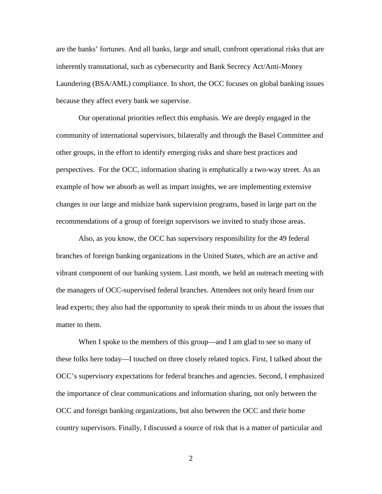are the banks' fortunes. And all banks, large and small, confront operational risks that are inherently transnational, such as cybersecurity and Bank Secrecy Act/Anti-Money Laundering (BSA/AML) compliance. In short, the OCC focuses on global banking issues because they affect every bank we supervise.

Our operational priorities reflect this emphasis. We are deeply engaged in the community of international supervisors, bilaterally and through the Basel Committee and other groups, in the effort to identify emerging risks and share best practices and perspectives. For the OCC, information sharing is emphatically a two-way street. As an example of how we absorb as well as impart insights, we are implementing extensive changes in our large and midsize bank supervision programs, based in large part on the recommendations of a group of foreign supervisors we invited to study those areas.

Also, as you know, the OCC has supervisory responsibility for the 49 federal branches of foreign banking organizations in the United States, which are an active and vibrant component of our banking system. Last month, we held an outreach meeting with the managers of OCC-supervised federal branches. Attendees not only heard from our lead experts; they also had the opportunity to speak their minds to us about the issues that matter to them.

When I spoke to the members of this group—and I am glad to see so many of these folks here today—I touched on three closely related topics. First, I talked about the OCC's supervisory expectations for federal branches and agencies. Second, I emphasized the importance of clear communications and information sharing, not only between the OCC and foreign banking organizations, but also between the OCC and their home country supervisors. Finally, I discussed a source of risk that is a matter of particular and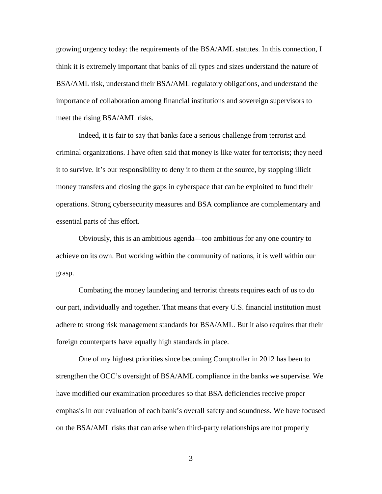growing urgency today: the requirements of the BSA/AML statutes. In this connection, I think it is extremely important that banks of all types and sizes understand the nature of BSA/AML risk, understand their BSA/AML regulatory obligations, and understand the importance of collaboration among financial institutions and sovereign supervisors to meet the rising BSA/AML risks.

Indeed, it is fair to say that banks face a serious challenge from terrorist and criminal organizations. I have often said that money is like water for terrorists; they need it to survive. It's our responsibility to deny it to them at the source, by stopping illicit money transfers and closing the gaps in cyberspace that can be exploited to fund their operations. Strong cybersecurity measures and BSA compliance are complementary and essential parts of this effort.

Obviously, this is an ambitious agenda—too ambitious for any one country to achieve on its own. But working within the community of nations, it is well within our grasp.

Combating the money laundering and terrorist threats requires each of us to do our part, individually and together. That means that every U.S. financial institution must adhere to strong risk management standards for BSA/AML. But it also requires that their foreign counterparts have equally high standards in place.

One of my highest priorities since becoming Comptroller in 2012 has been to strengthen the OCC's oversight of BSA/AML compliance in the banks we supervise. We have modified our examination procedures so that BSA deficiencies receive proper emphasis in our evaluation of each bank's overall safety and soundness. We have focused on the BSA/AML risks that can arise when third-party relationships are not properly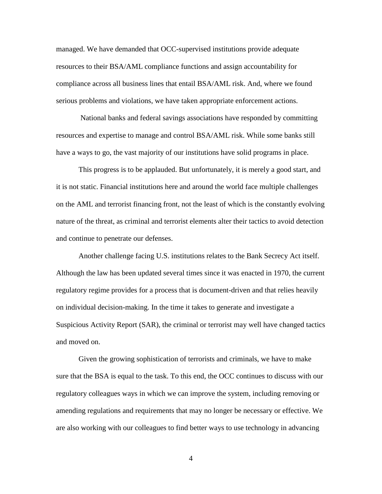managed. We have demanded that OCC-supervised institutions provide adequate resources to their BSA/AML compliance functions and assign accountability for compliance across all business lines that entail BSA/AML risk. And, where we found serious problems and violations, we have taken appropriate enforcement actions.

National banks and federal savings associations have responded by committing resources and expertise to manage and control BSA/AML risk. While some banks still have a ways to go, the vast majority of our institutions have solid programs in place.

This progress is to be applauded. But unfortunately, it is merely a good start, and it is not static. Financial institutions here and around the world face multiple challenges on the AML and terrorist financing front, not the least of which is the constantly evolving nature of the threat, as criminal and terrorist elements alter their tactics to avoid detection and continue to penetrate our defenses.

Another challenge facing U.S. institutions relates to the Bank Secrecy Act itself. Although the law has been updated several times since it was enacted in 1970, the current regulatory regime provides for a process that is document-driven and that relies heavily on individual decision-making. In the time it takes to generate and investigate a Suspicious Activity Report (SAR), the criminal or terrorist may well have changed tactics and moved on.

Given the growing sophistication of terrorists and criminals, we have to make sure that the BSA is equal to the task. To this end, the OCC continues to discuss with our regulatory colleagues ways in which we can improve the system, including removing or amending regulations and requirements that may no longer be necessary or effective. We are also working with our colleagues to find better ways to use technology in advancing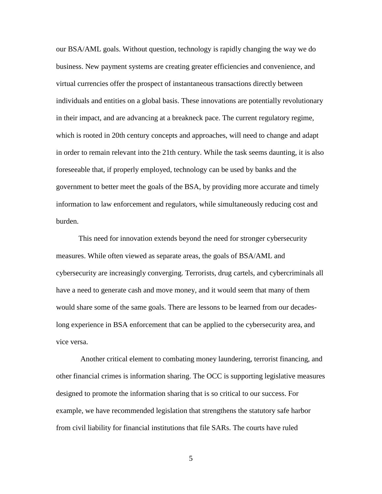our BSA/AML goals. Without question, technology is rapidly changing the way we do business. New payment systems are creating greater efficiencies and convenience, and virtual currencies offer the prospect of instantaneous transactions directly between individuals and entities on a global basis. These innovations are potentially revolutionary in their impact, and are advancing at a breakneck pace. The current regulatory regime, which is rooted in 20th century concepts and approaches, will need to change and adapt in order to remain relevant into the 21th century. While the task seems daunting, it is also foreseeable that, if properly employed, technology can be used by banks and the government to better meet the goals of the BSA, by providing more accurate and timely information to law enforcement and regulators, while simultaneously reducing cost and burden.

This need for innovation extends beyond the need for stronger cybersecurity measures. While often viewed as separate areas, the goals of BSA/AML and cybersecurity are increasingly converging. Terrorists, drug cartels, and cybercriminals all have a need to generate cash and move money, and it would seem that many of them would share some of the same goals. There are lessons to be learned from our decadeslong experience in BSA enforcement that can be applied to the cybersecurity area, and vice versa.

Another critical element to combating money laundering, terrorist financing, and other financial crimes is information sharing. The OCC is supporting legislative measures designed to promote the information sharing that is so critical to our success. For example, we have recommended legislation that strengthens the statutory safe harbor from civil liability for financial institutions that file SARs. The courts have ruled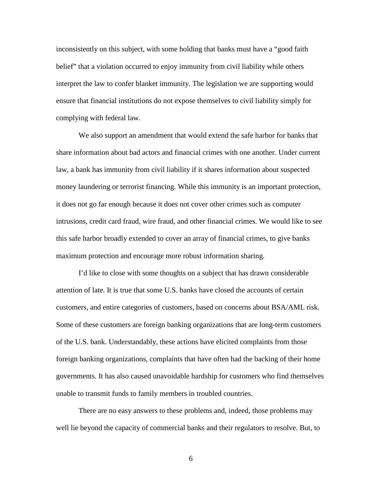inconsistently on this subject, with some holding that banks must have a "good faith belief" that a violation occurred to enjoy immunity from civil liability while others interpret the law to confer blanket immunity. The legislation we are supporting would ensure that financial institutions do not expose themselves to civil liability simply for complying with federal law.

We also support an amendment that would extend the safe harbor for banks that share information about bad actors and financial crimes with one another. Under current law, a bank has immunity from civil liability if it shares information about suspected money laundering or terrorist financing. While this immunity is an important protection, it does not go far enough because it does not cover other crimes such as computer intrusions, credit card fraud, wire fraud, and other financial crimes. We would like to see this safe harbor broadly extended to cover an array of financial crimes, to give banks maximum protection and encourage more robust information sharing.

I'd like to close with some thoughts on a subject that has drawn considerable attention of late. It is true that some U.S. banks have closed the accounts of certain customers, and entire categories of customers, based on concerns about BSA/AML risk. Some of these customers are foreign banking organizations that are long-term customers of the U.S. bank. Understandably, these actions have elicited complaints from those foreign banking organizations, complaints that have often had the backing of their home governments. It has also caused unavoidable hardship for customers who find themselves unable to transmit funds to family members in troubled countries.

There are no easy answers to these problems and, indeed, those problems may well lie beyond the capacity of commercial banks and their regulators to resolve. But, to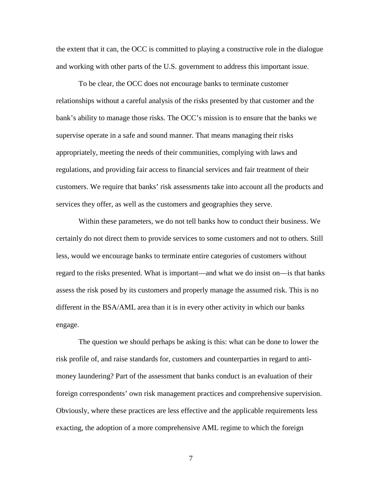the extent that it can, the OCC is committed to playing a constructive role in the dialogue and working with other parts of the U.S. government to address this important issue.

To be clear, the OCC does not encourage banks to terminate customer relationships without a careful analysis of the risks presented by that customer and the bank's ability to manage those risks. The OCC's mission is to ensure that the banks we supervise operate in a safe and sound manner. That means managing their risks appropriately, meeting the needs of their communities, complying with laws and regulations, and providing fair access to financial services and fair treatment of their customers. We require that banks' risk assessments take into account all the products and services they offer, as well as the customers and geographies they serve.

Within these parameters, we do not tell banks how to conduct their business. We certainly do not direct them to provide services to some customers and not to others. Still less, would we encourage banks to terminate entire categories of customers without regard to the risks presented. What is important—and what we do insist on—is that banks assess the risk posed by its customers and properly manage the assumed risk. This is no different in the BSA/AML area than it is in every other activity in which our banks engage.

The question we should perhaps be asking is this: what can be done to lower the risk profile of, and raise standards for, customers and counterparties in regard to antimoney laundering? Part of the assessment that banks conduct is an evaluation of their foreign correspondents' own risk management practices and comprehensive supervision. Obviously, where these practices are less effective and the applicable requirements less exacting, the adoption of a more comprehensive AML regime to which the foreign